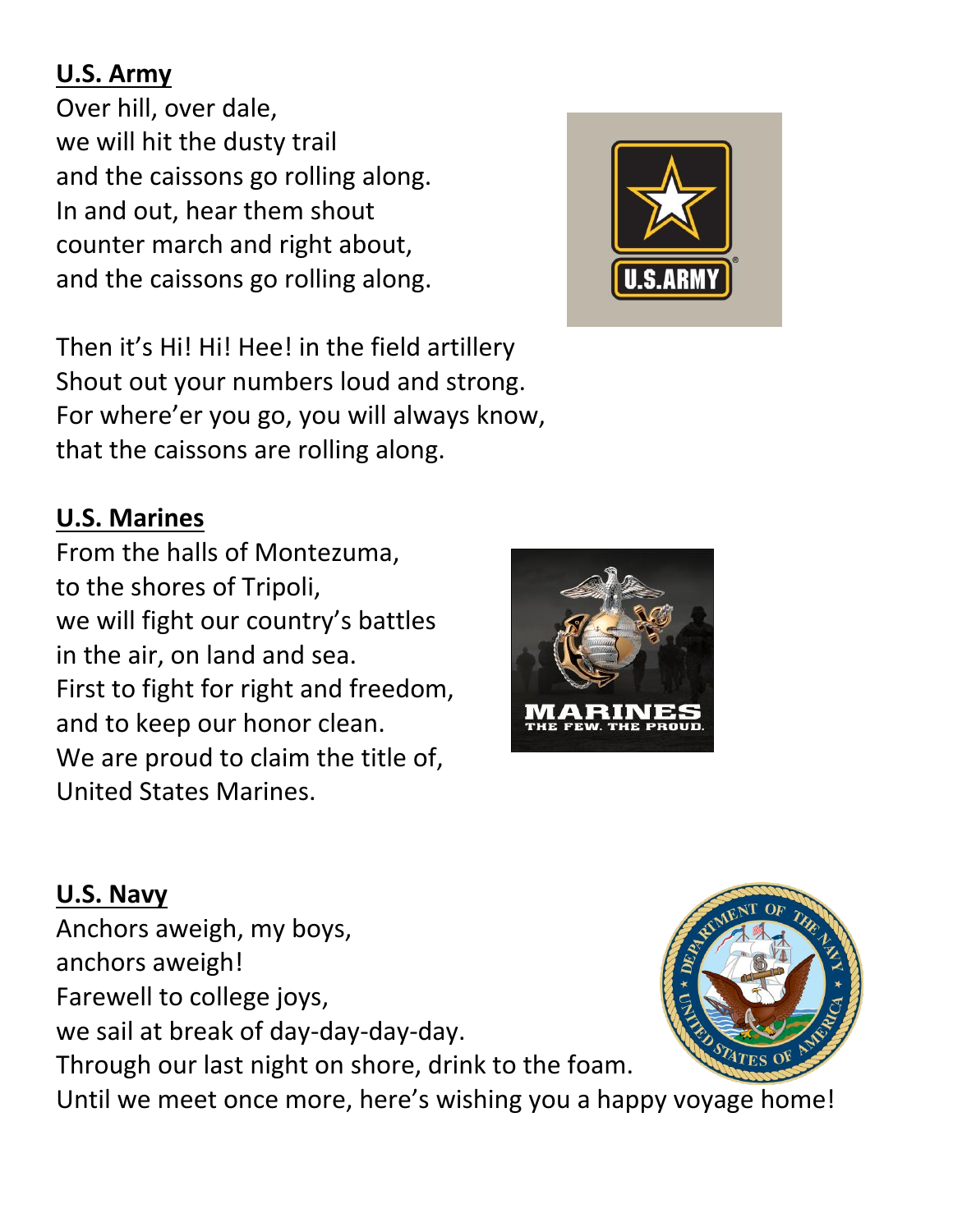# **U.S. Army**

Over hill, over dale, we will hit the dusty trail and the caissons go rolling along. In and out, hear them shout counter march and right about, and the caissons go rolling along.

Then it's Hi! Hi! Hee! in the field artillery Shout out your numbers loud and strong. For where'er you go, you will always know, that the caissons are rolling along.



### **U.S. Marines**

From the halls of Montezuma, to the shores of Tripoli, we will fight our country's battles in the air, on land and sea. First to fight for right and freedom, and to keep our honor clean. We are proud to claim the title of, United States Marines.



### **U.S. Navy**

Anchors aweigh, my boys, anchors aweigh! Farewell to college joys, we sail at break of day-day-day-day. Through our last night on shore, drink to the foam. Until we meet once more, here's wishing you a happy voyage home!